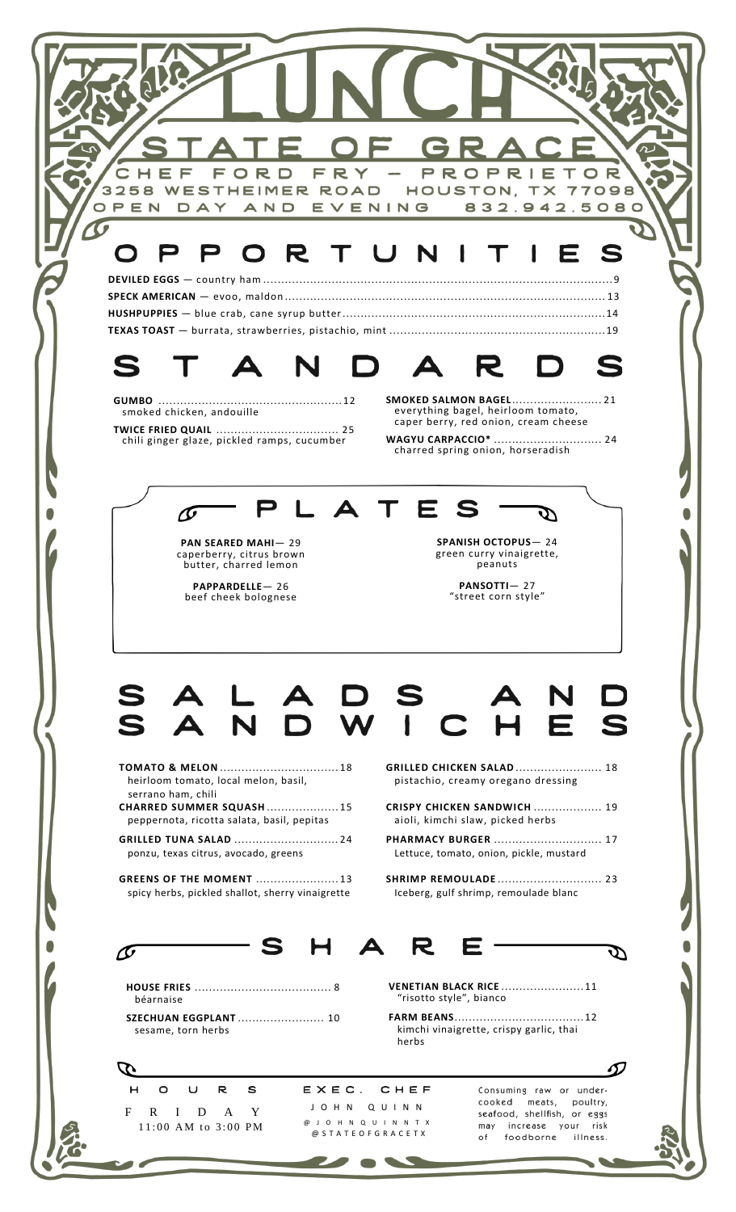| TE OF GRACE<br>$\overline{\phantom{a}}$<br>FORD FRY - PROPRIETOR<br>3258 WESTHEIMER ROAD HOUSTON, TX 77098<br>DAY AND EVENING 832.942.5080<br>OPEN                                                                                                          |  |
|-------------------------------------------------------------------------------------------------------------------------------------------------------------------------------------------------------------------------------------------------------------|--|
| PORTUNITI<br>E S                                                                                                                                                                                                                                            |  |
| DA<br>R D                                                                                                                                                                                                                                                   |  |
| <b>SMOKED SALMON BAGEL 21</b><br>everything bagel, heirloom tomato,<br>smoked chicken, andouille<br>caper berry, red onion, cream cheese<br><b>WAGYU CARPACCIO*  24</b><br>chili ginger glaze, pickled ramps, cucumber<br>charred spring onion, horseradish |  |
| LATES                                                                                                                                                                                                                                                       |  |
| <b>SPANISH OCTOPUS-24</b><br><b>PAN SEARED MAHI-29</b><br>green curry vinaigrette,<br>caperberry, citrus brown<br>butter, charred lemon<br>peanuts<br>PANSOTTI-27<br>PAPPARDELLE-26<br>"street corn style"<br>beef cheek bolognese                          |  |
|                                                                                                                                                                                                                                                             |  |
| D S<br>Е<br>$\mathbf C$                                                                                                                                                                                                                                     |  |
| <b>GRILLED CHICKEN SALAD  18</b><br>heirloom tomato, local melon, basil,<br>pistachio, creamy oregano dressing<br>serrano ham, chili<br>CHARRED SUMMER SQUASH 15<br><b>CRISPY CHICKEN SANDWICH  19</b>                                                      |  |
| peppernota, ricotta salata, basil, pepitas<br>aioli, kimchi slaw, picked herbs<br><b>PHARMACY BURGER  17</b><br>Lettuce, tomato, onion, pickle, mustard<br>ponzu, texas citrus, avocado, greens                                                             |  |
| <b>GREENS OF THE MOMENT  13</b><br>spicy herbs, pickled shallot, sherry vinaigrette<br>Iceberg, gulf shrimp, remoulade blanc                                                                                                                                |  |
|                                                                                                                                                                                                                                                             |  |
| <b>VENETIAN BLACK RICE 11</b><br>"risotto style", bianco<br>béarnaise<br><b>SZECHUAN EGGPLANT</b> 10<br>kimchi vinaigrette, crispy garlic, thai<br>sesame, torn herbs<br>herbs                                                                              |  |
| EXEC.<br>CHEF<br>O<br>U<br>R<br>s<br>Consuming raw or under-<br>cooked<br>meats,<br>poultry,<br>JOHN QUINN<br>R I D A Y<br>seafood, shellfish, or eggs<br>@ J O H N Q U I N N T X<br>may increase your risk<br>11:00 AM to 3:00 PM                          |  |
| @ STATEOFGRACETX<br>foodborne<br>of<br>illness.                                                                                                                                                                                                             |  |